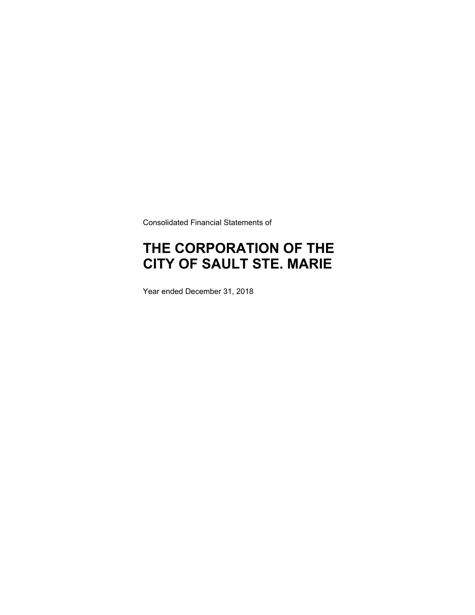Consolidated Financial Statements of

# **THE CORPORATION OF THE CITY OF SAULT STE. MARIE**

Year ended December 31, 2018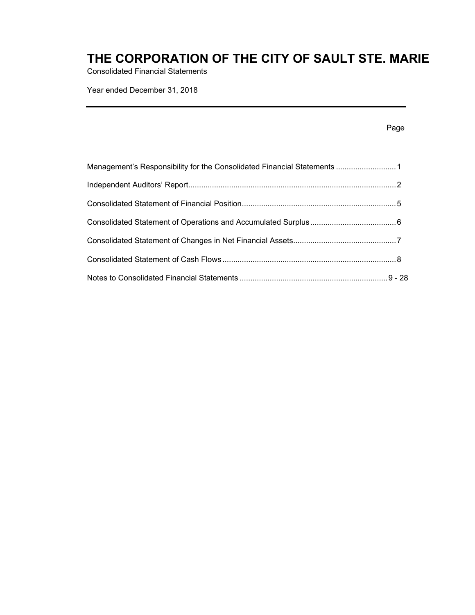Consolidated Financial Statements

Year ended December 31, 2018

Page

| Management's Responsibility for the Consolidated Financial Statements 1 |  |
|-------------------------------------------------------------------------|--|
|                                                                         |  |
|                                                                         |  |
|                                                                         |  |
|                                                                         |  |
|                                                                         |  |
|                                                                         |  |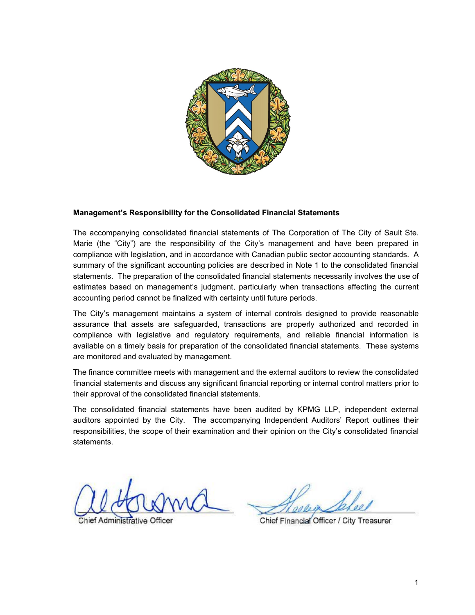

### **Management's Responsibility for the Consolidated Financial Statements**

The accompanying consolidated financial statements of The Corporation of The City of Sault Ste. Marie (the "City") are the responsibility of the City's management and have been prepared in compliance with legislation, and in accordance with Canadian public sector accounting standards. A summary of the significant accounting policies are described in Note 1 to the consolidated financial statements. The preparation of the consolidated financial statements necessarily involves the use of estimates based on management's judgment, particularly when transactions affecting the current accounting period cannot be finalized with certainty until future periods.

The City's management maintains a system of internal controls designed to provide reasonable assurance that assets are safeguarded, transactions are properly authorized and recorded in compliance with legislative and regulatory requirements, and reliable financial information is available on a timely basis for preparation of the consolidated financial statements. These systems are monitored and evaluated by management.

The finance committee meets with management and the external auditors to review the consolidated financial statements and discuss any significant financial reporting or internal control matters prior to their approval of the consolidated financial statements.

The consolidated financial statements have been audited by KPMG LLP, independent external auditors appointed by the City. The accompanying Independent Auditors' Report outlines their responsibilities, the scope of their examination and their opinion on the City's consolidated financial statements.

 $\mathcal{L}$ 

Chief Administrative Officer Chief Financial Officer / City Treasurer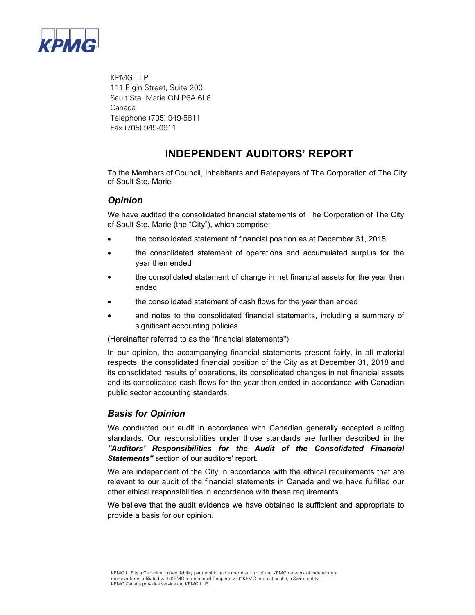

 KPMG LLP 111 Elgin Street, Suite 200 Sault Ste. Marie ON P6A 6L6 Canada Telephone (705) 949-5811 Fax (705) 949-0911

### **INDEPENDENT AUDITORS' REPORT**

To the Members of Council, Inhabitants and Ratepayers of The Corporation of The City of Sault Ste. Marie

### *Opinion*

We have audited the consolidated financial statements of The Corporation of The City of Sault Ste. Marie (the "City"), which comprise:

- the consolidated statement of financial position as at December 31, 2018
- the consolidated statement of operations and accumulated surplus for the year then ended
- the consolidated statement of change in net financial assets for the year then ended
- the consolidated statement of cash flows for the year then ended
- and notes to the consolidated financial statements, including a summary of significant accounting policies

(Hereinafter referred to as the "financial statements'').

In our opinion, the accompanying financial statements present fairly, in all material respects, the consolidated financial position of the City as at December 31, 2018 and its consolidated results of operations, its consolidated changes in net financial assets and its consolidated cash flows for the year then ended in accordance with Canadian public sector accounting standards.

### *Basis for Opinion*

We conducted our audit in accordance with Canadian generally accepted auditing standards. Our responsibilities under those standards are further described in the *''Auditors' Responsibilities for the Audit of the Consolidated Financial Statements''* section of our auditors' report.

We are independent of the City in accordance with the ethical requirements that are relevant to our audit of the financial statements in Canada and we have fulfilled our other ethical responsibilities in accordance with these requirements.

We believe that the audit evidence we have obtained is sufficient and appropriate to provide a basis for our opinion.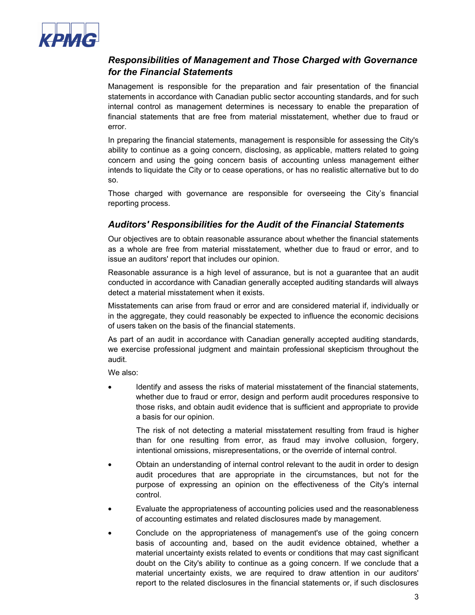

### *Responsibilities of Management and Those Charged with Governance for the Financial Statements*

Management is responsible for the preparation and fair presentation of the financial statements in accordance with Canadian public sector accounting standards, and for such internal control as management determines is necessary to enable the preparation of financial statements that are free from material misstatement, whether due to fraud or error.

In preparing the financial statements, management is responsible for assessing the City's ability to continue as a going concern, disclosing, as applicable, matters related to going concern and using the going concern basis of accounting unless management either intends to liquidate the City or to cease operations, or has no realistic alternative but to do so.

Those charged with governance are responsible for overseeing the City's financial reporting process.

### *Auditors' Responsibilities for the Audit of the Financial Statements*

Our objectives are to obtain reasonable assurance about whether the financial statements as a whole are free from material misstatement, whether due to fraud or error, and to issue an auditors' report that includes our opinion.

Reasonable assurance is a high level of assurance, but is not a guarantee that an audit conducted in accordance with Canadian generally accepted auditing standards will always detect a material misstatement when it exists.

Misstatements can arise from fraud or error and are considered material if, individually or in the aggregate, they could reasonably be expected to influence the economic decisions of users taken on the basis of the financial statements.

As part of an audit in accordance with Canadian generally accepted auditing standards, we exercise professional judgment and maintain professional skepticism throughout the audit.

We also:

• Identify and assess the risks of material misstatement of the financial statements, whether due to fraud or error, design and perform audit procedures responsive to those risks, and obtain audit evidence that is sufficient and appropriate to provide a basis for our opinion.

The risk of not detecting a material misstatement resulting from fraud is higher than for one resulting from error, as fraud may involve collusion, forgery, intentional omissions, misrepresentations, or the override of internal control.

- Obtain an understanding of internal control relevant to the audit in order to design audit procedures that are appropriate in the circumstances, but not for the purpose of expressing an opinion on the effectiveness of the City's internal control.
- Evaluate the appropriateness of accounting policies used and the reasonableness of accounting estimates and related disclosures made by management.
- Conclude on the appropriateness of management's use of the going concern basis of accounting and, based on the audit evidence obtained, whether a material uncertainty exists related to events or conditions that may cast significant doubt on the City's ability to continue as a going concern. If we conclude that a material uncertainty exists, we are required to draw attention in our auditors' report to the related disclosures in the financial statements or, if such disclosures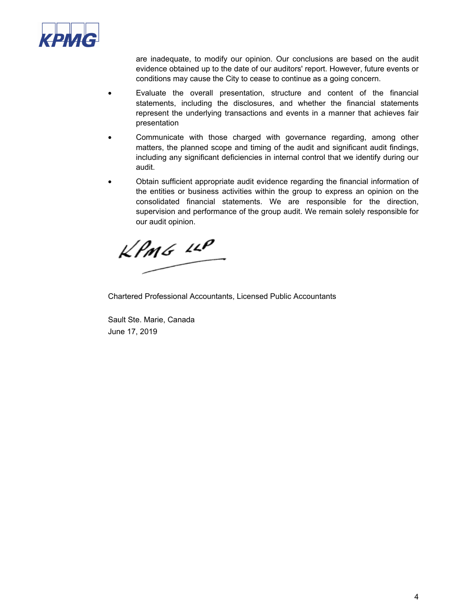

are inadequate, to modify our opinion. Our conclusions are based on the audit evidence obtained up to the date of our auditors' report. However, future events or conditions may cause the City to cease to continue as a going concern.

- Evaluate the overall presentation, structure and content of the financial statements, including the disclosures, and whether the financial statements represent the underlying transactions and events in a manner that achieves fair presentation
- Communicate with those charged with governance regarding, among other matters, the planned scope and timing of the audit and significant audit findings, including any significant deficiencies in internal control that we identify during our audit.
- Obtain sufficient appropriate audit evidence regarding the financial information of the entities or business activities within the group to express an opinion on the consolidated financial statements. We are responsible for the direction, supervision and performance of the group audit. We remain solely responsible for our audit opinion.

 $k$ *PMG 14P* 

Chartered Professional Accountants, Licensed Public Accountants

Sault Ste. Marie, Canada June 17, 2019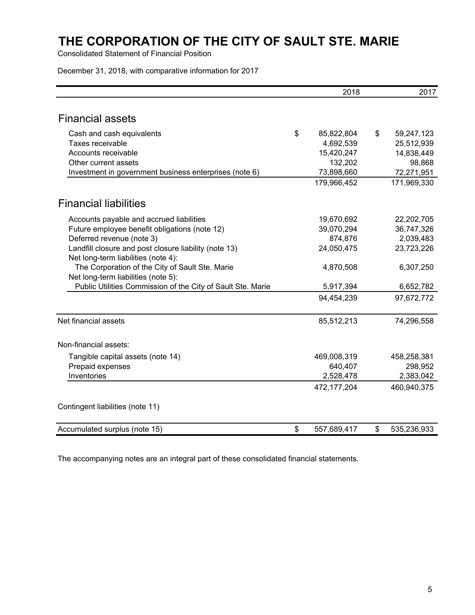Consolidated Statement of Financial Position

December 31, 2018, with comparative information for 2017

|                                                                                              | 2018              | 2017              |
|----------------------------------------------------------------------------------------------|-------------------|-------------------|
|                                                                                              |                   |                   |
| <b>Financial assets</b>                                                                      |                   |                   |
| Cash and cash equivalents                                                                    | \$<br>85,822,804  | \$<br>59,247,123  |
| Taxes receivable                                                                             | 4,692,539         | 25,512,939        |
| Accounts receivable                                                                          | 15,420,247        | 14,838,449        |
| Other current assets                                                                         | 132,202           | 98,868            |
| Investment in government business enterprises (note 6)                                       | 73,898,660        | 72,271,951        |
|                                                                                              | 179,966,452       | 171,969,330       |
| <b>Financial liabilities</b>                                                                 |                   |                   |
| Accounts payable and accrued liabilities                                                     | 19,670,692        | 22,202,705        |
| Future employee benefit obligations (note 12)                                                | 39,070,294        | 36,747,326        |
| Deferred revenue (note 3)                                                                    | 874,876           | 2,039,483         |
| Landfill closure and post closure liability (note 13)<br>Net long-term liabilities (note 4): | 24,050,475        | 23,723,226        |
| The Corporation of the City of Sault Ste. Marie<br>Net long-term liabilities (note 5):       | 4,870,508         | 6,307,250         |
| Public Utilities Commission of the City of Sault Ste. Marie                                  | 5,917,394         | 6,652,782         |
|                                                                                              | 94,454,239        | 97,672,772        |
| Net financial assets                                                                         | 85,512,213        | 74,296,558        |
| Non-financial assets:                                                                        |                   |                   |
| Tangible capital assets (note 14)                                                            | 469,008,319       | 458,258,381       |
| Prepaid expenses                                                                             | 640,407           | 298,952           |
| Inventories                                                                                  | 2,528,478         | 2,383,042         |
|                                                                                              | 472,177,204       | 460,940,375       |
| Contingent liabilities (note 11)                                                             |                   |                   |
| Accumulated surplus (note 15)                                                                | \$<br>557,689,417 | \$<br>535,236,933 |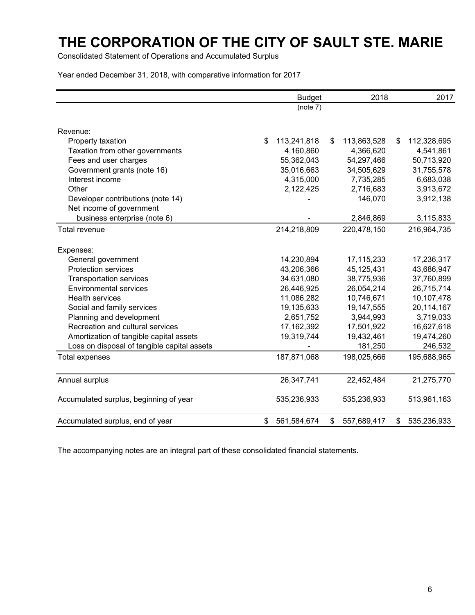Consolidated Statement of Operations and Accumulated Surplus

Year ended December 31, 2018, with comparative information for 2017

|                                                      | 2018<br><b>Budget</b>    |    | 2017                     |                          |
|------------------------------------------------------|--------------------------|----|--------------------------|--------------------------|
|                                                      | (note 7)                 |    |                          |                          |
|                                                      |                          |    |                          |                          |
| Revenue:                                             | \$                       | \$ |                          | \$                       |
| Property taxation<br>Taxation from other governments | 113,241,818<br>4,160,860 |    | 113,863,528<br>4,366,620 | 112,328,695<br>4,541,861 |
| Fees and user charges                                | 55,362,043               |    | 54,297,466               | 50,713,920               |
| Government grants (note 16)                          | 35,016,663               |    | 34,505,629               | 31,755,578               |
| Interest income                                      | 4,315,000                |    | 7,735,285                | 6,683,038                |
| Other                                                | 2,122,425                |    | 2,716,683                | 3,913,672                |
| Developer contributions (note 14)                    |                          |    | 146,070                  | 3,912,138                |
| Net income of government                             |                          |    |                          |                          |
| business enterprise (note 6)                         |                          |    | 2,846,869                | 3,115,833                |
| Total revenue                                        | 214,218,809              |    | 220,478,150              | 216,964,735              |
| Expenses:                                            |                          |    |                          |                          |
| General government                                   | 14,230,894               |    | 17, 115, 233             | 17,236,317               |
| <b>Protection services</b>                           | 43,206,366               |    | 45,125,431               | 43,686,947               |
| <b>Transportation services</b>                       | 34,631,080               |    | 38,775,936               | 37,760,899               |
| <b>Environmental services</b>                        | 26,446,925               |    | 26,054,214               | 26,715,714               |
| Health services                                      | 11,086,282               |    | 10,746,671               | 10,107,478               |
| Social and family services                           | 19,135,633               |    | 19,147,555               | 20,114,167               |
| Planning and development                             | 2,651,752                |    | 3,944,993                | 3,719,033                |
| Recreation and cultural services                     | 17, 162, 392             |    | 17,501,922               | 16,627,618               |
| Amortization of tangible capital assets              | 19,319,744               |    | 19,432,461               | 19,474,260               |
| Loss on disposal of tangible capital assets          |                          |    | 181,250                  | 246,532                  |
| Total expenses                                       | 187,871,068              |    | 198,025,666              | 195,688,965              |
| Annual surplus                                       | 26,347,741               |    | 22,452,484               | 21,275,770               |
| Accumulated surplus, beginning of year               | 535,236,933              |    | 535,236,933              | 513,961,163              |
| Accumulated surplus, end of year                     | \$<br>561,584,674        | \$ | 557,689,417              | \$<br>535,236,933        |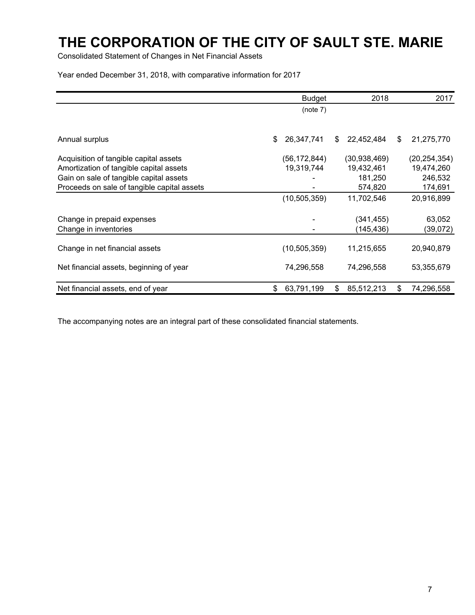Consolidated Statement of Changes in Net Financial Assets

Year ended December 31, 2018, with comparative information for 2017

|                                             | <b>Budget</b>    | 2018             | 2017             |
|---------------------------------------------|------------------|------------------|------------------|
|                                             | (note 7)         |                  |                  |
|                                             |                  |                  |                  |
| Annual surplus                              | 26,347,741<br>\$ | \$<br>22,452,484 | \$<br>21,275,770 |
| Acquisition of tangible capital assets      | (56,172,844)     | (30, 938, 469)   | (20, 254, 354)   |
| Amortization of tangible capital assets     | 19,319,744       | 19,432,461       | 19,474,260       |
| Gain on sale of tangible capital assets     |                  | 181,250          | 246,532          |
| Proceeds on sale of tangible capital assets |                  | 574,820          | 174,691          |
|                                             | (10, 505, 359)   | 11,702,546       | 20,916,899       |
|                                             |                  |                  |                  |
| Change in prepaid expenses                  |                  | (341, 455)       | 63,052           |
| Change in inventories                       |                  | (145,436)        | (39,072)         |
|                                             |                  |                  |                  |
| Change in net financial assets              | (10, 505, 359)   | 11,215,655       | 20,940,879       |
|                                             |                  |                  |                  |
| Net financial assets, beginning of year     | 74,296,558       | 74,296,558       | 53,355,679       |
|                                             |                  |                  |                  |
| Net financial assets, end of year           | 63,791,199<br>\$ | \$<br>85,512,213 | \$<br>74,296,558 |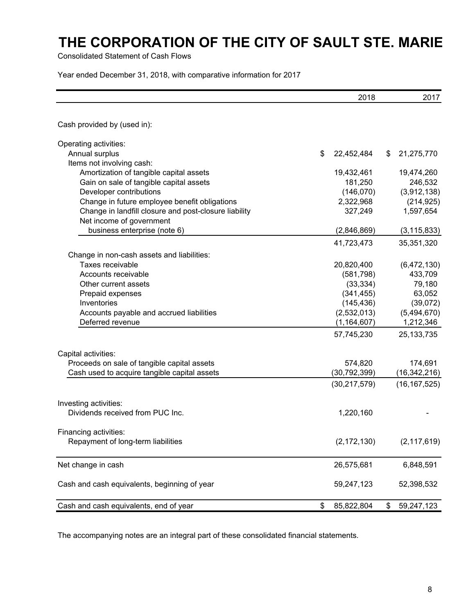Consolidated Statement of Cash Flows

Year ended December 31, 2018, with comparative information for 2017

|                                                       | 2018             | 2017             |
|-------------------------------------------------------|------------------|------------------|
|                                                       |                  |                  |
| Cash provided by (used in):                           |                  |                  |
| Operating activities:                                 |                  |                  |
| Annual surplus                                        | \$<br>22,452,484 | \$<br>21,275,770 |
| Items not involving cash:                             |                  |                  |
| Amortization of tangible capital assets               | 19,432,461       | 19,474,260       |
| Gain on sale of tangible capital assets               | 181,250          | 246,532          |
| Developer contributions                               | (146,070)        | (3,912,138)      |
| Change in future employee benefit obligations         | 2,322,968        | (214, 925)       |
| Change in landfill closure and post-closure liability | 327,249          | 1,597,654        |
| Net income of government                              |                  |                  |
| business enterprise (note 6)                          | (2,846,869)      | (3, 115, 833)    |
|                                                       | 41,723,473       | 35,351,320       |
| Change in non-cash assets and liabilities:            |                  |                  |
| Taxes receivable                                      | 20,820,400       | (6,472,130)      |
| Accounts receivable                                   | (581, 798)       | 433,709          |
| Other current assets                                  | (33, 334)        | 79,180           |
| Prepaid expenses                                      | (341, 455)       | 63,052           |
| Inventories                                           | (145, 436)       | (39,072)         |
| Accounts payable and accrued liabilities              | (2,532,013)      | (5,494,670)      |
| Deferred revenue                                      | (1, 164, 607)    | 1,212,346        |
|                                                       | 57,745,230       | 25, 133, 735     |
|                                                       |                  |                  |
| Capital activities:                                   |                  |                  |
| Proceeds on sale of tangible capital assets           | 574,820          | 174,691          |
| Cash used to acquire tangible capital assets          | (30, 792, 399)   | (16, 342, 216)   |
|                                                       | (30, 217, 579)   | (16, 167, 525)   |
|                                                       |                  |                  |
| Investing activities:                                 |                  |                  |
| Dividends received from PUC Inc.                      | 1,220,160        |                  |
| Financing activities:                                 |                  |                  |
| Repayment of long-term liabilities                    | (2, 172, 130)    | (2, 117, 619)    |
|                                                       |                  |                  |
| Net change in cash                                    | 26,575,681       | 6,848,591        |
| Cash and cash equivalents, beginning of year          | 59,247,123       | 52,398,532       |
|                                                       |                  |                  |
| Cash and cash equivalents, end of year                | \$<br>85,822,804 | \$<br>59,247,123 |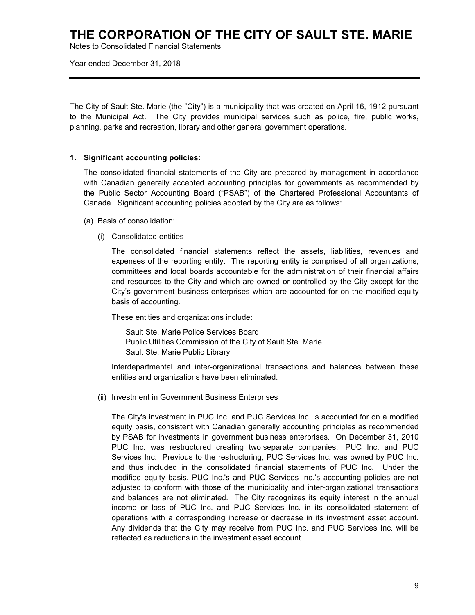Notes to Consolidated Financial Statements

Year ended December 31, 2018

The City of Sault Ste. Marie (the "City") is a municipality that was created on April 16, 1912 pursuant to the Municipal Act. The City provides municipal services such as police, fire, public works, planning, parks and recreation, library and other general government operations.

### **1. Significant accounting policies:**

The consolidated financial statements of the City are prepared by management in accordance with Canadian generally accepted accounting principles for governments as recommended by the Public Sector Accounting Board ("PSAB") of the Chartered Professional Accountants of Canada. Significant accounting policies adopted by the City are as follows:

- (a) Basis of consolidation:
	- (i) Consolidated entities

 The consolidated financial statements reflect the assets, liabilities, revenues and expenses of the reporting entity. The reporting entity is comprised of all organizations, committees and local boards accountable for the administration of their financial affairs and resources to the City and which are owned or controlled by the City except for the City's government business enterprises which are accounted for on the modified equity basis of accounting.

These entities and organizations include:

 Sault Ste. Marie Police Services Board Public Utilities Commission of the City of Sault Ste. Marie Sault Ste. Marie Public Library

 Interdepartmental and inter-organizational transactions and balances between these entities and organizations have been eliminated.

(ii) Investment in Government Business Enterprises

The City's investment in PUC Inc. and PUC Services Inc. is accounted for on a modified equity basis, consistent with Canadian generally accounting principles as recommended by PSAB for investments in government business enterprises. On December 31, 2010 PUC Inc. was restructured creating two separate companies: PUC Inc. and PUC Services Inc. Previous to the restructuring, PUC Services Inc. was owned by PUC Inc. and thus included in the consolidated financial statements of PUC Inc. Under the modified equity basis, PUC Inc.'s and PUC Services Inc.'s accounting policies are not adjusted to conform with those of the municipality and inter-organizational transactions and balances are not eliminated. The City recognizes its equity interest in the annual income or loss of PUC Inc. and PUC Services Inc. in its consolidated statement of operations with a corresponding increase or decrease in its investment asset account. Any dividends that the City may receive from PUC Inc. and PUC Services Inc. will be reflected as reductions in the investment asset account.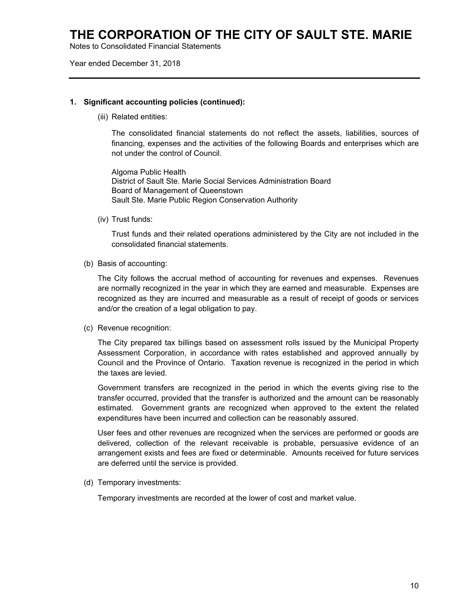Notes to Consolidated Financial Statements

Year ended December 31, 2018

#### **1. Significant accounting policies (continued):**

(iii) Related entities:

 The consolidated financial statements do not reflect the assets, liabilities, sources of financing, expenses and the activities of the following Boards and enterprises which are not under the control of Council.

 Algoma Public Health District of Sault Ste. Marie Social Services Administration Board Board of Management of Queenstown Sault Ste. Marie Public Region Conservation Authority

(iv) Trust funds:

Trust funds and their related operations administered by the City are not included in the consolidated financial statements.

(b) Basis of accounting:

The City follows the accrual method of accounting for revenues and expenses. Revenues are normally recognized in the year in which they are earned and measurable. Expenses are recognized as they are incurred and measurable as a result of receipt of goods or services and/or the creation of a legal obligation to pay.

(c) Revenue recognition:

The City prepared tax billings based on assessment rolls issued by the Municipal Property Assessment Corporation, in accordance with rates established and approved annually by Council and the Province of Ontario. Taxation revenue is recognized in the period in which the taxes are levied.

Government transfers are recognized in the period in which the events giving rise to the transfer occurred, provided that the transfer is authorized and the amount can be reasonably estimated. Government grants are recognized when approved to the extent the related expenditures have been incurred and collection can be reasonably assured.

User fees and other revenues are recognized when the services are performed or goods are delivered, collection of the relevant receivable is probable, persuasive evidence of an arrangement exists and fees are fixed or determinable. Amounts received for future services are deferred until the service is provided.

(d) Temporary investments:

Temporary investments are recorded at the lower of cost and market value.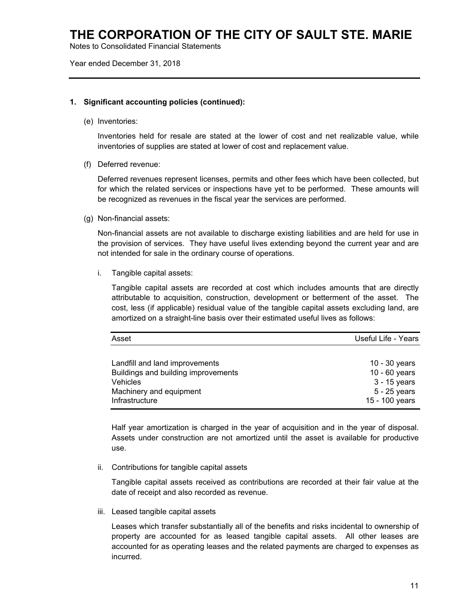Notes to Consolidated Financial Statements

Year ended December 31, 2018

#### **1. Significant accounting policies (continued):**

(e) Inventories:

Inventories held for resale are stated at the lower of cost and net realizable value, while inventories of supplies are stated at lower of cost and replacement value.

(f) Deferred revenue:

Deferred revenues represent licenses, permits and other fees which have been collected, but for which the related services or inspections have yet to be performed. These amounts will be recognized as revenues in the fiscal year the services are performed.

(g) Non-financial assets:

 Non-financial assets are not available to discharge existing liabilities and are held for use in the provision of services. They have useful lives extending beyond the current year and are not intended for sale in the ordinary course of operations.

i. Tangible capital assets:

Tangible capital assets are recorded at cost which includes amounts that are directly attributable to acquisition, construction, development or betterment of the asset. The cost, less (if applicable) residual value of the tangible capital assets excluding land, are amortized on a straight-line basis over their estimated useful lives as follows:

| Asset                               | Useful Life - Years |
|-------------------------------------|---------------------|
|                                     |                     |
| Landfill and land improvements      | $10 - 30$ years     |
| Buildings and building improvements | 10 - 60 years       |
| Vehicles                            | 3 - 15 years        |
| Machinery and equipment             | 5 - 25 years        |
| Infrastructure                      | 15 - 100 years      |

Half year amortization is charged in the year of acquisition and in the year of disposal. Assets under construction are not amortized until the asset is available for productive use.

ii. Contributions for tangible capital assets

Tangible capital assets received as contributions are recorded at their fair value at the date of receipt and also recorded as revenue.

iii. Leased tangible capital assets

Leases which transfer substantially all of the benefits and risks incidental to ownership of property are accounted for as leased tangible capital assets. All other leases are accounted for as operating leases and the related payments are charged to expenses as incurred.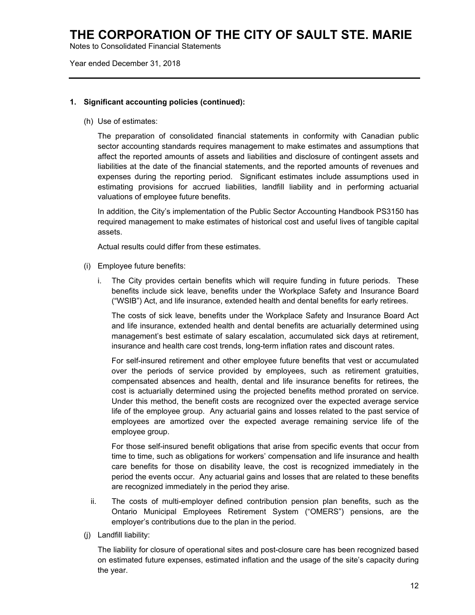Notes to Consolidated Financial Statements

Year ended December 31, 2018

### **1. Significant accounting policies (continued):**

(h) Use of estimates:

The preparation of consolidated financial statements in conformity with Canadian public sector accounting standards requires management to make estimates and assumptions that affect the reported amounts of assets and liabilities and disclosure of contingent assets and liabilities at the date of the financial statements, and the reported amounts of revenues and expenses during the reporting period. Significant estimates include assumptions used in estimating provisions for accrued liabilities, landfill liability and in performing actuarial valuations of employee future benefits.

In addition, the City's implementation of the Public Sector Accounting Handbook PS3150 has required management to make estimates of historical cost and useful lives of tangible capital assets.

Actual results could differ from these estimates.

- (i) Employee future benefits:
	- i. The City provides certain benefits which will require funding in future periods. These benefits include sick leave, benefits under the Workplace Safety and Insurance Board ("WSIB") Act, and life insurance, extended health and dental benefits for early retirees.

 The costs of sick leave, benefits under the Workplace Safety and Insurance Board Act and life insurance, extended health and dental benefits are actuarially determined using management's best estimate of salary escalation, accumulated sick days at retirement, insurance and health care cost trends, long-term inflation rates and discount rates.

 For self-insured retirement and other employee future benefits that vest or accumulated over the periods of service provided by employees, such as retirement gratuities, compensated absences and health, dental and life insurance benefits for retirees, the cost is actuarially determined using the projected benefits method prorated on service. Under this method, the benefit costs are recognized over the expected average service life of the employee group. Any actuarial gains and losses related to the past service of employees are amortized over the expected average remaining service life of the employee group.

 For those self-insured benefit obligations that arise from specific events that occur from time to time, such as obligations for workers' compensation and life insurance and health care benefits for those on disability leave, the cost is recognized immediately in the period the events occur. Any actuarial gains and losses that are related to these benefits are recognized immediately in the period they arise.

- ii. The costs of multi-employer defined contribution pension plan benefits, such as the Ontario Municipal Employees Retirement System ("OMERS") pensions, are the employer's contributions due to the plan in the period.
- (j) Landfill liability:

The liability for closure of operational sites and post-closure care has been recognized based on estimated future expenses, estimated inflation and the usage of the site's capacity during the year.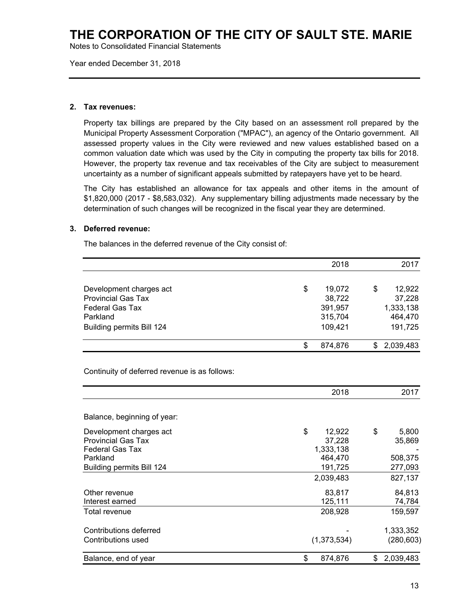Notes to Consolidated Financial Statements

Year ended December 31, 2018

### **2. Tax revenues:**

Property tax billings are prepared by the City based on an assessment roll prepared by the Municipal Property Assessment Corporation ("MPAC"), an agency of the Ontario government. All assessed property values in the City were reviewed and new values established based on a common valuation date which was used by the City in computing the property tax bills for 2018. However, the property tax revenue and tax receivables of the City are subject to measurement uncertainty as a number of significant appeals submitted by ratepayers have yet to be heard.

The City has established an allowance for tax appeals and other items in the amount of \$1,820,000 (2017 - \$8,583,032). Any supplementary billing adjustments made necessary by the determination of such changes will be recognized in the fiscal year they are determined.

#### **3. Deferred revenue:**

The balances in the deferred revenue of the City consist of:

|                                  | 2018          | 2017         |
|----------------------------------|---------------|--------------|
| Development charges act          | \$<br>19,072  | \$<br>12,922 |
| <b>Provincial Gas Tax</b>        | 38,722        | 37,228       |
| <b>Federal Gas Tax</b>           | 391,957       | 1,333,138    |
| Parkland                         | 315,704       | 464,470      |
| <b>Building permits Bill 124</b> | 109,421       | 191,725      |
|                                  | \$<br>874,876 | \$2,039,483  |

Continuity of deferred revenue is as follows:

|                             | 2018          | 2017            |
|-----------------------------|---------------|-----------------|
| Balance, beginning of year: |               |                 |
| Development charges act     | \$<br>12,922  | \$<br>5,800     |
| <b>Provincial Gas Tax</b>   | 37,228        | 35,869          |
| <b>Federal Gas Tax</b>      | 1,333,138     |                 |
| Parkland                    | 464,470       | 508,375         |
| Building permits Bill 124   | 191,725       | 277,093         |
|                             | 2,039,483     | 827,137         |
| Other revenue               | 83,817        | 84,813          |
| Interest earned             | 125,111       | 74,784          |
| Total revenue               | 208,928       | 159,597         |
| Contributions deferred      |               | 1,333,352       |
| Contributions used          | (1,373,534)   | (280, 603)      |
| Balance, end of year        | \$<br>874.876 | 2,039,483<br>\$ |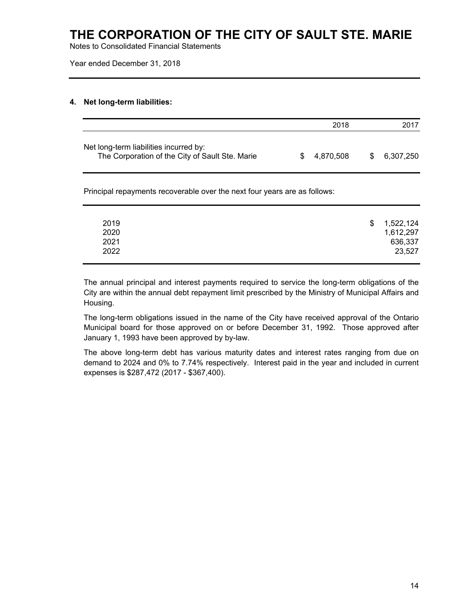Notes to Consolidated Financial Statements

Year ended December 31, 2018

#### **4. Net long-term liabilities:**

|                                                                                           | 2018         | 2017      |
|-------------------------------------------------------------------------------------------|--------------|-----------|
| Net long-term liabilities incurred by:<br>The Corporation of the City of Sault Ste. Marie | \$ 4.870.508 | 6.307.250 |

Principal repayments recoverable over the next four years are as follows:

| 2019 |  | \$. | 1,522,124 |
|------|--|-----|-----------|
| 2020 |  |     | 1,612,297 |
| 2021 |  |     | 636,337   |
| 2022 |  |     | 23,527    |
|      |  |     |           |

The annual principal and interest payments required to service the long-term obligations of the City are within the annual debt repayment limit prescribed by the Ministry of Municipal Affairs and Housing.

The long-term obligations issued in the name of the City have received approval of the Ontario Municipal board for those approved on or before December 31, 1992. Those approved after January 1, 1993 have been approved by by-law.

The above long-term debt has various maturity dates and interest rates ranging from due on demand to 2024 and 0% to 7.74% respectively. Interest paid in the year and included in current expenses is \$287,472 (2017 - \$367,400).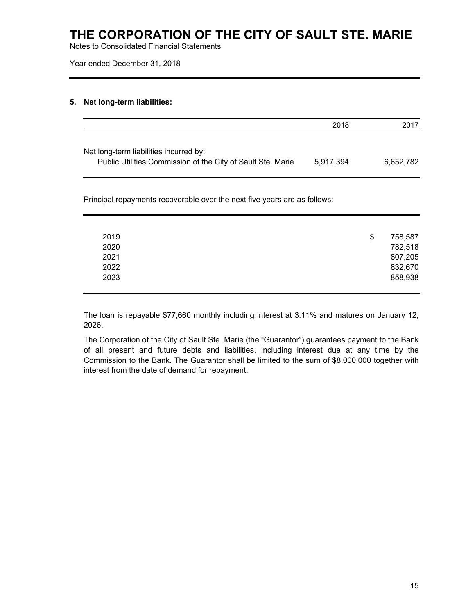Notes to Consolidated Financial Statements

Year ended December 31, 2018

### **5. Net long-term liabilities:**

|                                                                                                       | 2018      | 2017      |
|-------------------------------------------------------------------------------------------------------|-----------|-----------|
| Net long-term liabilities incurred by:<br>Public Utilities Commission of the City of Sault Ste. Marie | 5.917.394 | 6,652,782 |

Principal repayments recoverable over the next five years are as follows:

| 2019 | \$<br>758,587 |
|------|---------------|
| 2020 | 782,518       |
| 2021 | 807,205       |
| 2022 | 832,670       |
| 2023 | 858,938       |
|      |               |

The loan is repayable \$77,660 monthly including interest at 3.11% and matures on January 12, 2026.

The Corporation of the City of Sault Ste. Marie (the "Guarantor") guarantees payment to the Bank of all present and future debts and liabilities, including interest due at any time by the Commission to the Bank. The Guarantor shall be limited to the sum of \$8,000,000 together with interest from the date of demand for repayment.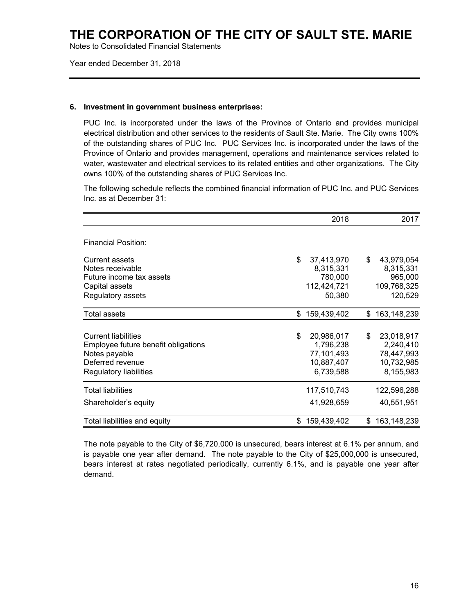Notes to Consolidated Financial Statements

Year ended December 31, 2018

#### **6. Investment in government business enterprises:**

PUC Inc. is incorporated under the laws of the Province of Ontario and provides municipal electrical distribution and other services to the residents of Sault Ste. Marie. The City owns 100% of the outstanding shares of PUC Inc. PUC Services Inc. is incorporated under the laws of the Province of Ontario and provides management, operations and maintenance services related to water, wastewater and electrical services to its related entities and other organizations. The City owns 100% of the outstanding shares of PUC Services Inc.

The following schedule reflects the combined financial information of PUC Inc. and PUC Services Inc. as at December 31:

|                                                                                                                                  |     | 2018                                                             |    | 2017                                                             |
|----------------------------------------------------------------------------------------------------------------------------------|-----|------------------------------------------------------------------|----|------------------------------------------------------------------|
| <b>Financial Position:</b>                                                                                                       |     |                                                                  |    |                                                                  |
| Current assets<br>Notes receivable<br>Future income tax assets<br>Capital assets<br>Regulatory assets                            | \$  | 37,413,970<br>8,315,331<br>780,000<br>112,424,721<br>50,380      | \$ | 43,979,054<br>8,315,331<br>965,000<br>109,768,325<br>120,529     |
| Total assets                                                                                                                     | \$. | 159,439,402                                                      | S  | 163,148,239                                                      |
| <b>Current liabilities</b><br>Employee future benefit obligations<br>Notes payable<br>Deferred revenue<br>Regulatory liabilities | \$  | 20,986,017<br>1,796,238<br>77,101,493<br>10,887,407<br>6,739,588 | \$ | 23,018,917<br>2,240,410<br>78,447,993<br>10,732,985<br>8,155,983 |
| <b>Total liabilities</b>                                                                                                         |     | 117,510,743                                                      |    | 122,596,288                                                      |
| Shareholder's equity                                                                                                             |     | 41,928,659                                                       |    | 40,551,951                                                       |
| Total liabilities and equity                                                                                                     | S   | 159,439,402                                                      | S  | 163, 148, 239                                                    |

The note payable to the City of \$6,720,000 is unsecured, bears interest at 6.1% per annum, and is payable one year after demand. The note payable to the City of \$25,000,000 is unsecured, bears interest at rates negotiated periodically, currently 6.1%, and is payable one year after demand.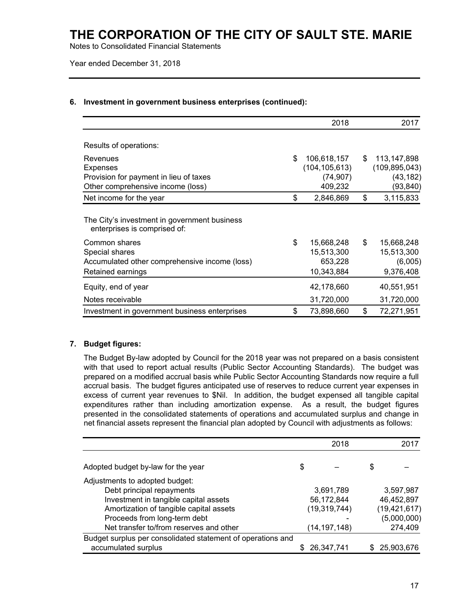Notes to Consolidated Financial Statements

Year ended December 31, 2018

|                                                                              | 2018              | 2017              |
|------------------------------------------------------------------------------|-------------------|-------------------|
| Results of operations:                                                       |                   |                   |
| Revenues                                                                     | \$<br>106,618,157 | \$<br>113,147,898 |
| <b>Expenses</b>                                                              | (104,105,613)     | (109, 895, 043)   |
| Provision for payment in lieu of taxes                                       | (74, 907)         | (43, 182)         |
| Other comprehensive income (loss)                                            | 409,232           | (93, 840)         |
| Net income for the year                                                      | \$<br>2,846,869   | \$<br>3,115,833   |
| The City's investment in government business<br>enterprises is comprised of: |                   |                   |
| Common shares                                                                | \$<br>15,668,248  | \$<br>15,668,248  |
| Special shares                                                               | 15,513,300        | 15,513,300        |
| Accumulated other comprehensive income (loss)                                | 653,228           | (6,005)           |
| Retained earnings                                                            | 10,343,884        | 9,376,408         |
| Equity, end of year                                                          | 42,178,660        | 40,551,951        |
| Notes receivable                                                             | 31,720,000        | 31,720,000        |
| Investment in government business enterprises                                | \$<br>73,898,660  | \$<br>72,271,951  |

### **6. Investment in government business enterprises (continued):**

### **7. Budget figures:**

The Budget By-law adopted by Council for the 2018 year was not prepared on a basis consistent with that used to report actual results (Public Sector Accounting Standards). The budget was prepared on a modified accrual basis while Public Sector Accounting Standards now require a full accrual basis. The budget figures anticipated use of reserves to reduce current year expenses in excess of current year revenues to \$Nil. In addition, the budget expensed all tangible capital expenditures rather than including amortization expense. As a result, the budget figures presented in the consolidated statements of operations and accumulated surplus and change in net financial assets represent the financial plan adopted by Council with adjustments as follows:

|                                                                         | 2018           |    | 2017                   |
|-------------------------------------------------------------------------|----------------|----|------------------------|
| Adopted budget by-law for the year                                      | \$             | \$ |                        |
| Adjustments to adopted budget:<br>Debt principal repayments             | 3,691,789      |    | 3,597,987              |
| Investment in tangible capital assets                                   | 56,172,844     |    | 46,452,897             |
| Amortization of tangible capital assets                                 | (19, 319, 744) |    | (19, 421, 617)         |
| Proceeds from long-term debt<br>Net transfer to/from reserves and other | (14,197,148)   |    | (5,000,000)<br>274,409 |
| Budget surplus per consolidated statement of operations and             |                |    |                        |
| accumulated surplus                                                     | 26,347,741     | S  | 25,903,676             |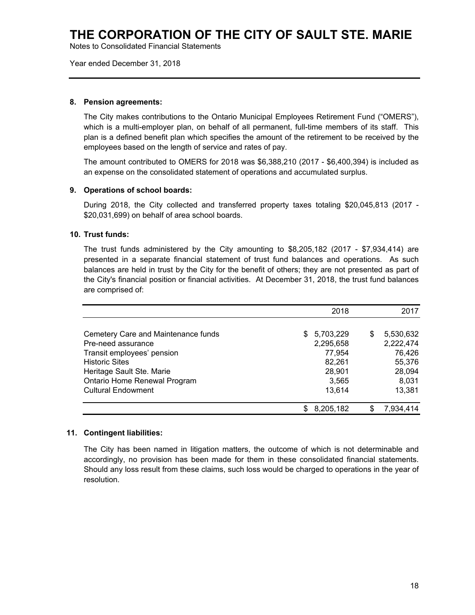Notes to Consolidated Financial Statements

Year ended December 31, 2018

#### **8. Pension agreements:**

The City makes contributions to the Ontario Municipal Employees Retirement Fund ("OMERS"), which is a multi-employer plan, on behalf of all permanent, full-time members of its staff. This plan is a defined benefit plan which specifies the amount of the retirement to be received by the employees based on the length of service and rates of pay.

The amount contributed to OMERS for 2018 was \$6,388,210 (2017 - \$6,400,394) is included as an expense on the consolidated statement of operations and accumulated surplus.

#### **9. Operations of school boards:**

During 2018, the City collected and transferred property taxes totaling \$20,045,813 (2017 - \$20,031,699) on behalf of area school boards.

### **10. Trust funds:**

The trust funds administered by the City amounting to \$8,205,182 (2017 - \$7,934,414) are presented in a separate financial statement of trust fund balances and operations. As such balances are held in trust by the City for the benefit of others; they are not presented as part of the City's financial position or financial activities. At December 31, 2018, the trust fund balances are comprised of:

|                                     | 2018            |   | 2017      |
|-------------------------------------|-----------------|---|-----------|
|                                     |                 |   |           |
| Cemetery Care and Maintenance funds | 5,703,229<br>S. | S | 5,530,632 |
| Pre-need assurance                  | 2,295,658       |   | 2,222,474 |
| Transit employees' pension          | 77,954          |   | 76,426    |
| <b>Historic Sites</b>               | 82,261          |   | 55,376    |
| Heritage Sault Ste. Marie           | 28,901          |   | 28,094    |
| Ontario Home Renewal Program        | 3,565           |   | 8,031     |
| <b>Cultural Endowment</b>           | 13,614          |   | 13,381    |
|                                     | 8,205,182       |   | 7,934,414 |

#### **11. Contingent liabilities:**

The City has been named in litigation matters, the outcome of which is not determinable and accordingly, no provision has been made for them in these consolidated financial statements. Should any loss result from these claims, such loss would be charged to operations in the year of resolution.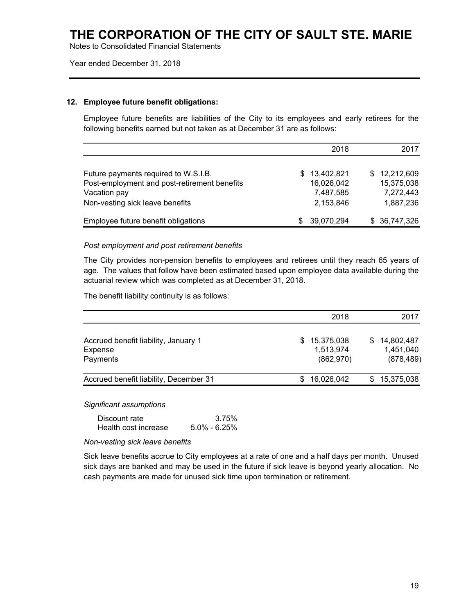Notes to Consolidated Financial Statements

Year ended December 31, 2018

#### **12. Employee future benefit obligations:**

Employee future benefits are liabilities of the City to its employees and early retirees for the following benefits earned but not taken as at December 31 are as follows:

|                                                                                      | 2018                                        | 2017                                    |
|--------------------------------------------------------------------------------------|---------------------------------------------|-----------------------------------------|
| Future payments required to W.S.I.B.<br>Post-employment and post-retirement benefits | 13,402,821<br>S.<br>16,026,042<br>7,487,585 | \$12,212,609<br>15,375,038<br>7,272,443 |
| Vacation pay<br>Non-vesting sick leave benefits                                      | 2,153,846                                   | 1,887,236                               |
| Employee future benefit obligations                                                  | 39,070,294<br>S                             | \$36,747,326                            |

#### *Post employment and post retirement benefits*

The City provides non-pension benefits to employees and retirees until they reach 65 years of age. The values that follow have been estimated based upon employee data available during the actuarial review which was completed as at December 31, 2018.

The benefit liability continuity is as follows:

|                                                             | 2018                                       |     | 2017                                  |
|-------------------------------------------------------------|--------------------------------------------|-----|---------------------------------------|
| Accrued benefit liability, January 1<br>Expense<br>Payments | \$<br>15,375,038<br>1,513,974<br>(862,970) | \$. | 14,802,487<br>1,451,040<br>(878, 489) |
| Accrued benefit liability, December 31                      | 16,026,042                                 |     | \$15,375,038                          |

*Significant assumptions* 

| Discount rate        | 3.75%            |
|----------------------|------------------|
| Health cost increase | $5.0\% - 6.25\%$ |

*Non-vesting sick leave benefits* 

Sick leave benefits accrue to City employees at a rate of one and a half days per month. Unused sick days are banked and may be used in the future if sick leave is beyond yearly allocation. No cash payments are made for unused sick time upon termination or retirement.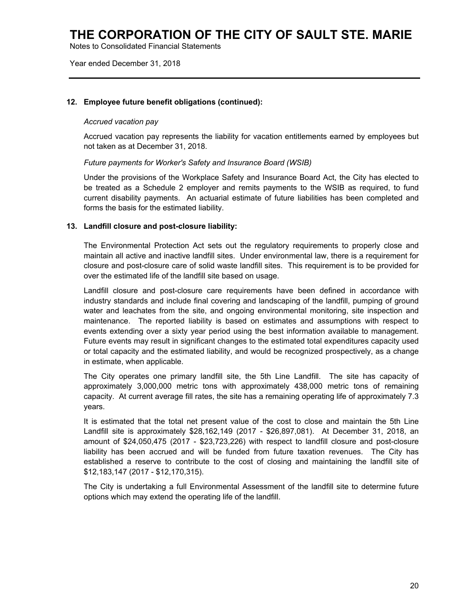Notes to Consolidated Financial Statements

Year ended December 31, 2018

### **12. Employee future benefit obligations (continued):**

#### *Accrued vacation pay*

Accrued vacation pay represents the liability for vacation entitlements earned by employees but not taken as at December 31, 2018.

#### *Future payments for Worker's Safety and Insurance Board (WSIB)*

Under the provisions of the Workplace Safety and Insurance Board Act, the City has elected to be treated as a Schedule 2 employer and remits payments to the WSIB as required, to fund current disability payments. An actuarial estimate of future liabilities has been completed and forms the basis for the estimated liability.

#### **13. Landfill closure and post-closure liability:**

The Environmental Protection Act sets out the regulatory requirements to properly close and maintain all active and inactive landfill sites. Under environmental law, there is a requirement for closure and post-closure care of solid waste landfill sites. This requirement is to be provided for over the estimated life of the landfill site based on usage.

Landfill closure and post-closure care requirements have been defined in accordance with industry standards and include final covering and landscaping of the landfill, pumping of ground water and leachates from the site, and ongoing environmental monitoring, site inspection and maintenance. The reported liability is based on estimates and assumptions with respect to events extending over a sixty year period using the best information available to management. Future events may result in significant changes to the estimated total expenditures capacity used or total capacity and the estimated liability, and would be recognized prospectively, as a change in estimate, when applicable.

The City operates one primary landfill site, the 5th Line Landfill. The site has capacity of approximately 3,000,000 metric tons with approximately 438,000 metric tons of remaining capacity. At current average fill rates, the site has a remaining operating life of approximately 7.3 years.

It is estimated that the total net present value of the cost to close and maintain the 5th Line Landfill site is approximately \$28,162,149 (2017 - \$26,897,081). At December 31, 2018, an amount of \$24,050,475 (2017 - \$23,723,226) with respect to landfill closure and post-closure liability has been accrued and will be funded from future taxation revenues. The City has established a reserve to contribute to the cost of closing and maintaining the landfill site of \$12,183,147 (2017 - \$12,170,315).

The City is undertaking a full Environmental Assessment of the landfill site to determine future options which may extend the operating life of the landfill.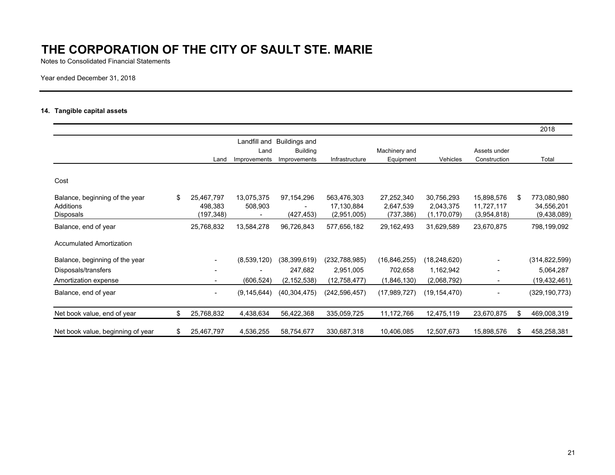Notes to Consolidated Financial Statements

Year ended December 31, 2018

### **14. Tangible capital assets**

|                                                          |    |                                     |                       |                          |                                          |                                       |                                          |                                         |    | 2018                                     |
|----------------------------------------------------------|----|-------------------------------------|-----------------------|--------------------------|------------------------------------------|---------------------------------------|------------------------------------------|-----------------------------------------|----|------------------------------------------|
|                                                          |    |                                     | Landfill and          | <b>Buildings and</b>     |                                          |                                       |                                          |                                         |    |                                          |
|                                                          |    |                                     | Land                  | <b>Building</b>          |                                          | Machinery and                         |                                          | Assets under                            |    |                                          |
|                                                          |    | Land                                | Improvements          | Improvements             | Infrastructure                           | Equipment                             | Vehicles                                 | Construction                            |    | Total                                    |
| Cost                                                     |    |                                     |                       |                          |                                          |                                       |                                          |                                         |    |                                          |
| Balance, beginning of the year<br>Additions<br>Disposals | \$ | 25,467,797<br>498,383<br>(197, 348) | 13,075,375<br>508,903 | 97,154,296<br>(427, 453) | 563,476,303<br>17,130,884<br>(2,951,005) | 27,252,340<br>2,647,539<br>(737, 386) | 30,756,293<br>2,043,375<br>(1, 170, 079) | 15,898,576<br>11,727,117<br>(3,954,818) | S. | 773,080,980<br>34,556,201<br>(9,438,089) |
| Balance, end of year                                     |    | 25,768,832                          | 13,584,278            | 96,726,843               | 577,656,182                              | 29,162,493                            | 31,629,589                               | 23,670,875                              |    | 798,199,092                              |
| <b>Accumulated Amortization</b>                          |    |                                     |                       |                          |                                          |                                       |                                          |                                         |    |                                          |
| Balance, beginning of the year                           |    |                                     | (8,539,120)           | (38, 399, 619)           | (232, 788, 985)                          | (16, 846, 255)                        | (18, 248, 620)                           |                                         |    | (314, 822, 599)                          |
| Disposals/transfers                                      |    |                                     |                       | 247,682                  | 2,951,005                                | 702,658                               | 1,162,942                                |                                         |    | 5,064,287                                |
| Amortization expense                                     |    |                                     | (606, 524)            | (2, 152, 538)            | (12,758,477)                             | (1,846,130)                           | (2,068,792)                              |                                         |    | (19, 432, 461)                           |
| Balance, end of year                                     |    | $\overline{\phantom{0}}$            | (9, 145, 644)         | (40, 304, 475)           | (242, 596, 457)                          | (17,989,727)                          | (19, 154, 470)                           |                                         |    | (329, 190, 773)                          |
| Net book value, end of year                              | \$ | 25,768,832                          | 4,438,634             | 56,422,368               | 335,059,725                              | 11,172,766                            | 12,475,119                               | 23,670,875                              | \$ | 469,008,319                              |
| Net book value, beginning of year                        | S  | 25,467,797                          | 4,536,255             | 58.754,677               | 330,687,318                              | 10,406,085                            | 12,507,673                               | 15,898,576                              | \$ | 458,258,381                              |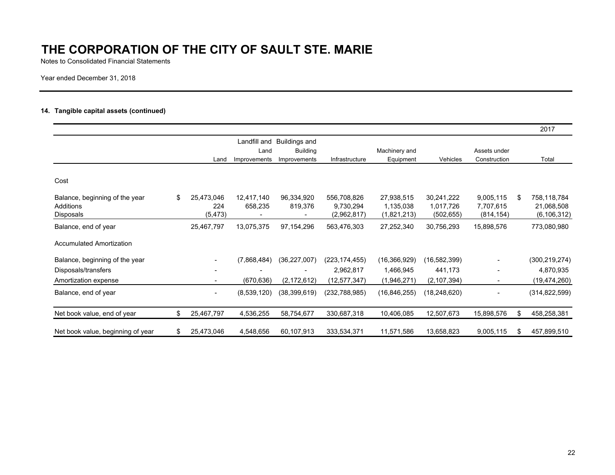Notes to Consolidated Financial Statements

Year ended December 31, 2018

### **14. Tangible capital assets (continued)**

|                                             |                          |                       |                            |                          |                         |                         |                        |    | 2017                      |
|---------------------------------------------|--------------------------|-----------------------|----------------------------|--------------------------|-------------------------|-------------------------|------------------------|----|---------------------------|
|                                             |                          |                       | Landfill and Buildings and |                          |                         |                         |                        |    |                           |
|                                             |                          | Land                  | <b>Building</b>            |                          | Machinery and           |                         | Assets under           |    |                           |
|                                             | Land                     | Improvements          | Improvements               | Infrastructure           | Equipment               | Vehicles                | Construction           |    | Total                     |
| Cost                                        |                          |                       |                            |                          |                         |                         |                        |    |                           |
| Balance, beginning of the year<br>Additions | \$<br>25,473,046<br>224  | 12,417,140<br>658,235 | 96,334,920<br>819,376      | 556,708,826<br>9,730,294 | 27,938,515<br>1,135,038 | 30,241,222<br>1,017,726 | 9,005,115<br>7,707,615 | S. | 758,118,784<br>21,068,508 |
| Disposals                                   | (5, 473)                 |                       |                            | (2,962,817)              | (1,821,213)             | (502, 655)              | (814, 154)             |    | (6, 106, 312)             |
| Balance, end of year                        | 25,467,797               | 13,075,375            | 97,154,296                 | 563,476,303              | 27,252,340              | 30,756,293              | 15,898,576             |    | 773,080,980               |
| Accumulated Amortization                    |                          |                       |                            |                          |                         |                         |                        |    |                           |
| Balance, beginning of the year              |                          | (7,868,484)           | (36, 227, 007)             | (223, 174, 455)          | (16, 366, 929)          | (16, 582, 399)          |                        |    | (300, 219, 274)           |
| Disposals/transfers                         |                          |                       |                            | 2,962,817                | 1,466,945               | 441,173                 |                        |    | 4,870,935                 |
| Amortization expense                        |                          | (670, 636)            | (2, 172, 612)              | (12,577,347)             | (1,946,271)             | (2, 107, 394)           |                        |    | (19,474,260)              |
| Balance, end of year                        | $\overline{\phantom{a}}$ | (8,539,120)           | (38, 399, 619)             | (232,788,985)            | (16, 846, 255)          | (18, 248, 620)          |                        |    | (314, 822, 599)           |
| Net book value, end of year                 | \$<br>25,467,797         | 4,536,255             | 58,754,677                 | 330,687,318              | 10,406,085              | 12,507,673              | 15,898,576             | \$ | 458,258,381               |
| Net book value, beginning of year           | \$<br>25,473,046         | 4,548,656             | 60,107,913                 | 333,534,371              | 11,571,586              | 13,658,823              | 9,005,115              | S  | 457,899,510               |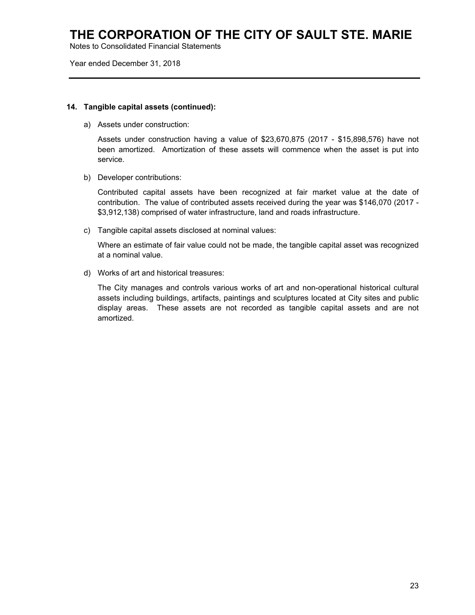Notes to Consolidated Financial Statements

Year ended December 31, 2018

### **14. Tangible capital assets (continued):**

a) Assets under construction:

Assets under construction having a value of \$23,670,875 (2017 - \$15,898,576) have not been amortized. Amortization of these assets will commence when the asset is put into service.

b) Developer contributions:

Contributed capital assets have been recognized at fair market value at the date of contribution. The value of contributed assets received during the year was \$146,070 (2017 - \$3,912,138) comprised of water infrastructure, land and roads infrastructure.

c) Tangible capital assets disclosed at nominal values:

Where an estimate of fair value could not be made, the tangible capital asset was recognized at a nominal value.

d) Works of art and historical treasures:

The City manages and controls various works of art and non-operational historical cultural assets including buildings, artifacts, paintings and sculptures located at City sites and public display areas. These assets are not recorded as tangible capital assets and are not amortized.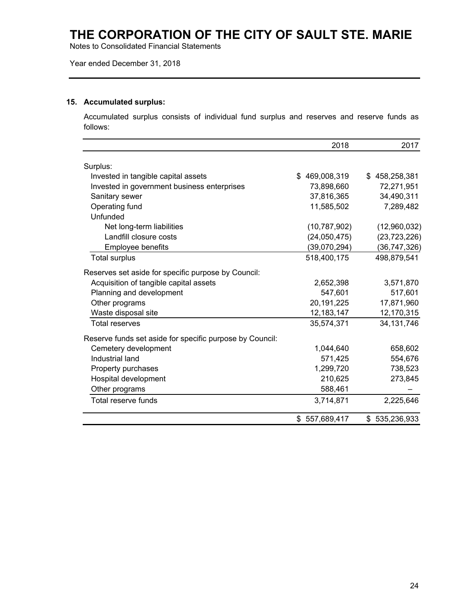Notes to Consolidated Financial Statements

Year ended December 31, 2018

### **15. Accumulated surplus:**

Accumulated surplus consists of individual fund surplus and reserves and reserve funds as follows:

|                                                          | 2018          | 2017           |
|----------------------------------------------------------|---------------|----------------|
| Surplus:                                                 |               |                |
| Invested in tangible capital assets                      | \$469,008,319 | \$458,258,381  |
| Invested in government business enterprises              | 73,898,660    | 72,271,951     |
| Sanitary sewer                                           | 37,816,365    | 34,490,311     |
| Operating fund                                           | 11,585,502    | 7,289,482      |
| <b>Unfunded</b>                                          |               |                |
| Net long-term liabilities                                | (10,787,902)  | (12,960,032)   |
| Landfill closure costs                                   | (24,050,475)  | (23, 723, 226) |
| Employee benefits                                        | (39,070,294)  | (36, 747, 326) |
| <b>Total surplus</b>                                     | 518,400,175   | 498,879,541    |
| Reserves set aside for specific purpose by Council:      |               |                |
| Acquisition of tangible capital assets                   | 2,652,398     | 3,571,870      |
| Planning and development                                 | 547,601       | 517,601        |
| Other programs                                           | 20,191,225    | 17,871,960     |
| Waste disposal site                                      | 12, 183, 147  | 12,170,315     |
| <b>Total reserves</b>                                    | 35,574,371    | 34, 131, 746   |
| Reserve funds set aside for specific purpose by Council: |               |                |
| Cemetery development                                     | 1,044,640     | 658,602        |
| Industrial land                                          | 571,425       | 554,676        |
| Property purchases                                       | 1,299,720     | 738,523        |
| Hospital development                                     | 210,625       | 273,845        |
| Other programs                                           | 588,461       |                |
| Total reserve funds                                      | 3,714,871     | 2,225,646      |
|                                                          | \$557,689,417 | \$535,236,933  |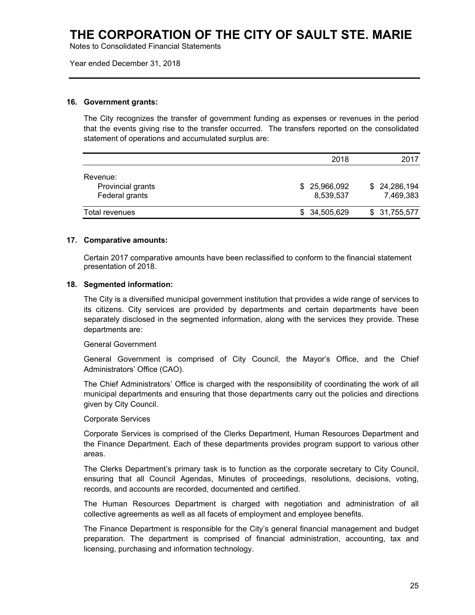Notes to Consolidated Financial Statements

Year ended December 31, 2018

#### **16. Government grants:**

The City recognizes the transfer of government funding as expenses or revenues in the period that the events giving rise to the transfer occurred. The transfers reported on the consolidated statement of operations and accumulated surplus are:

|                                                 | 2018                      | 2017                      |
|-------------------------------------------------|---------------------------|---------------------------|
| Revenue:<br>Provincial grants<br>Federal grants | \$25,966,092<br>8,539,537 | \$24,286,194<br>7,469,383 |
| Total revenues                                  | \$34,505,629              | \$31,755,577              |

#### **17. Comparative amounts:**

Certain 2017 comparative amounts have been reclassified to conform to the financial statement presentation of 2018.

#### **18. Segmented information:**

The City is a diversified municipal government institution that provides a wide range of services to its citizens. City services are provided by departments and certain departments have been separately disclosed in the segmented information, along with the services they provide. These departments are:

#### General Government

General Government is comprised of City Council, the Mayor's Office, and the Chief Administrators' Office (CAO).

The Chief Administrators' Office is charged with the responsibility of coordinating the work of all municipal departments and ensuring that those departments carry out the policies and directions given by City Council.

#### Corporate Services

Corporate Services is comprised of the Clerks Department, Human Resources Department and the Finance Department. Each of these departments provides program support to various other areas.

The Clerks Department's primary task is to function as the corporate secretary to City Council, ensuring that all Council Agendas, Minutes of proceedings, resolutions, decisions, voting, records, and accounts are recorded, documented and certified.

The Human Resources Department is charged with negotiation and administration of all collective agreements as well as all facets of employment and employee benefits.

The Finance Department is responsible for the City's general financial management and budget preparation. The department is comprised of financial administration, accounting, tax and licensing, purchasing and information technology.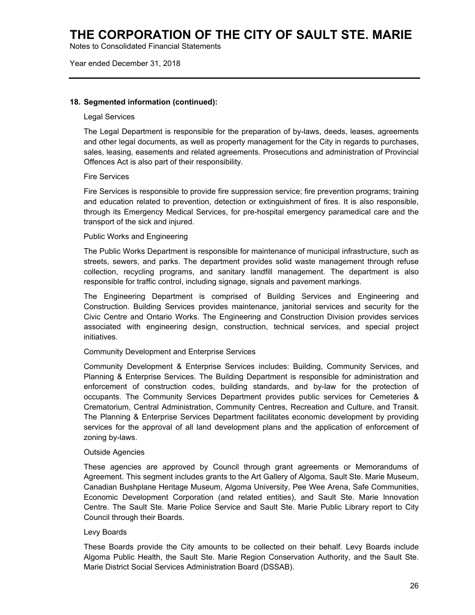Notes to Consolidated Financial Statements

Year ended December 31, 2018

### **18. Segmented information (continued):**

#### Legal Services

The Legal Department is responsible for the preparation of by-laws, deeds, leases, agreements and other legal documents, as well as property management for the City in regards to purchases, sales, leasing, easements and related agreements. Prosecutions and administration of Provincial Offences Act is also part of their responsibility.

#### Fire Services

Fire Services is responsible to provide fire suppression service; fire prevention programs; training and education related to prevention, detection or extinguishment of fires. It is also responsible, through its Emergency Medical Services, for pre-hospital emergency paramedical care and the transport of the sick and injured.

#### Public Works and Engineering

The Public Works Department is responsible for maintenance of municipal infrastructure, such as streets, sewers, and parks. The department provides solid waste management through refuse collection, recycling programs, and sanitary landfill management. The department is also responsible for traffic control, including signage, signals and pavement markings.

The Engineering Department is comprised of Building Services and Engineering and Construction. Building Services provides maintenance, janitorial services and security for the Civic Centre and Ontario Works. The Engineering and Construction Division provides services associated with engineering design, construction, technical services, and special project initiatives.

#### Community Development and Enterprise Services

Community Development & Enterprise Services includes: Building, Community Services, and Planning & Enterprise Services. The Building Department is responsible for administration and enforcement of construction codes, building standards, and by-law for the protection of occupants. The Community Services Department provides public services for Cemeteries & Crematorium, Central Administration, Community Centres, Recreation and Culture, and Transit. The Planning & Enterprise Services Department facilitates economic development by providing services for the approval of all land development plans and the application of enforcement of zoning by-laws.

#### Outside Agencies

These agencies are approved by Council through grant agreements or Memorandums of Agreement. This segment includes grants to the Art Gallery of Algoma, Sault Ste. Marie Museum, Canadian Bushplane Heritage Museum, Algoma University, Pee Wee Arena, Safe Communities, Economic Development Corporation (and related entities), and Sault Ste. Marie Innovation Centre. The Sault Ste. Marie Police Service and Sault Ste. Marie Public Library report to City Council through their Boards.

#### Levy Boards

These Boards provide the City amounts to be collected on their behalf. Levy Boards include Algoma Public Health, the Sault Ste. Marie Region Conservation Authority, and the Sault Ste. Marie District Social Services Administration Board (DSSAB).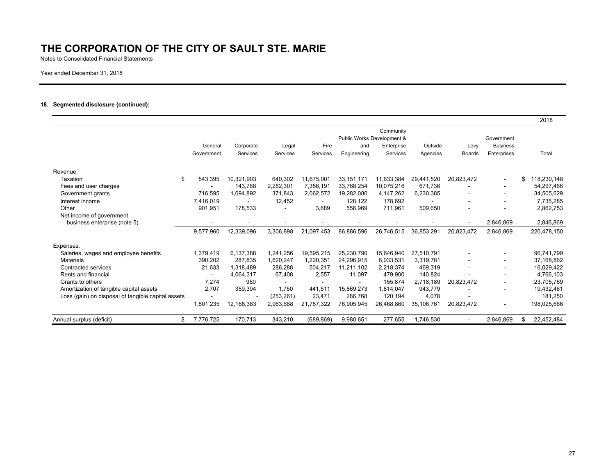Notes to Consolidated Financial Statements

Year ended December 31, 2018

#### **18. Segmented disclosure (continued):**

|                                                    |                          |            |                 |            |             |                            |                |                          |                 | 2018              |
|----------------------------------------------------|--------------------------|------------|-----------------|------------|-------------|----------------------------|----------------|--------------------------|-----------------|-------------------|
|                                                    |                          |            |                 |            |             | Community                  |                |                          |                 |                   |
|                                                    |                          |            |                 |            |             | Public Works Development & |                |                          | Government      |                   |
|                                                    | General                  | Corporate  | Legal           | Fire       | and         | Enterprise                 | Outside        | Levy                     | <b>Business</b> |                   |
|                                                    | Government               | Services   | <b>Services</b> | Services   | Engineering | Services                   | Agencies       | <b>Boards</b>            | Enterprises     | Total             |
| Revenue:                                           |                          |            |                 |            |             |                            |                |                          |                 |                   |
| Taxation                                           | \$<br>543.395            | 10,321,903 | 640,302         | 11,675,001 | 33.151.171  | 11,633,384                 | 29,441,520     | 20,823,472               |                 | 118,230,148<br>\$ |
| Fees and user charges                              |                          | 143.768    | 2,282,301       | 7,356,191  | 33,768,254  | 10,075,216                 | 671,736        |                          |                 | 54,297,466        |
| Government grants                                  | 716,595                  | 1,694,892  | 371,843         | 2,062,572  | 19,282,080  | 4,147,262                  | 6,230,385      |                          |                 | 34,505,629        |
| Interest income                                    | 7,416,019                |            | 12,452          |            | 128,122     | 178,692                    |                |                          |                 | 7,735,285         |
| Other                                              | 901,951                  | 178,533    |                 | 3,689      | 556,969     | 711,961                    | 509,650        | $\overline{\phantom{a}}$ |                 | 2,862,753         |
| Net income of government                           |                          |            |                 |            |             |                            |                |                          |                 |                   |
| business enterprise (note 5)                       | $\overline{\phantom{a}}$ |            |                 | ٠          |             |                            | $\blacksquare$ |                          | 2,846,869       | 2,846,869         |
|                                                    | 9,577,960                | 12,339,096 | 3,306,898       | 21,097,453 | 86,886,596  | 26,746,515                 | 36,853,291     | 20,823,472               | 2,846,869       | 220,478,150       |
| Expenses:                                          |                          |            |                 |            |             |                            |                |                          |                 |                   |
| Salaries, wages and employee benefits              | 1,379,419                | 6.137.388  | 1,241,256       | 19,595,215 | 25.230.790  | 15,646,940                 | 27,510,791     |                          |                 | 96,741,799        |
| <b>Materials</b>                                   | 390,202                  | 287.835    | 1,620,247       | 1,220,351  | 24.296.915  | 6,033,531                  | 3,319,781      |                          |                 | 37,168,862        |
| Contracted services                                | 21.633                   | 1.318.489  | 286,288         | 504,217    | 11.211.102  | 2,218,374                  | 469,319        |                          |                 | 16,029,422        |
| Rents and financial                                |                          | 4,064,317  | 67,408          | 2,557      | 11,097      | 479.900                    | 140,824        |                          |                 | 4.766.103         |
| Grants to others                                   | 7,274                    | 960        |                 |            |             | 155,874                    | 2,718,189      | 20,823,472               |                 | 23,705,769        |
| Amortization of tangible capital assets            | 2,707                    | 359,394    | 1,750           | 441,511    | 15.869.273  | 1,814,047                  | 943,779        |                          |                 | 19,432,461        |
| Loss (gain) on disposal of tangible capital assets | $\sim$                   |            | (253, 261)      | 23,471     | 286.768     | 120,194                    | 4,078          |                          |                 | 181,250           |
|                                                    | 1,801,235                | 12,168,383 | 2,963,688       | 21,787,322 | 76,905,945  | 26,468,860                 | 35,106,761     | 20,823,472               |                 | 198,025,666       |
| Annual surplus (deficit)                           | \$<br>7,776,725          | 170,713    | 343,210         | (689, 869) | 9.980.651   | 277,655                    | 1,746,530      |                          | 2,846,869       | 22,452,484<br>\$  |